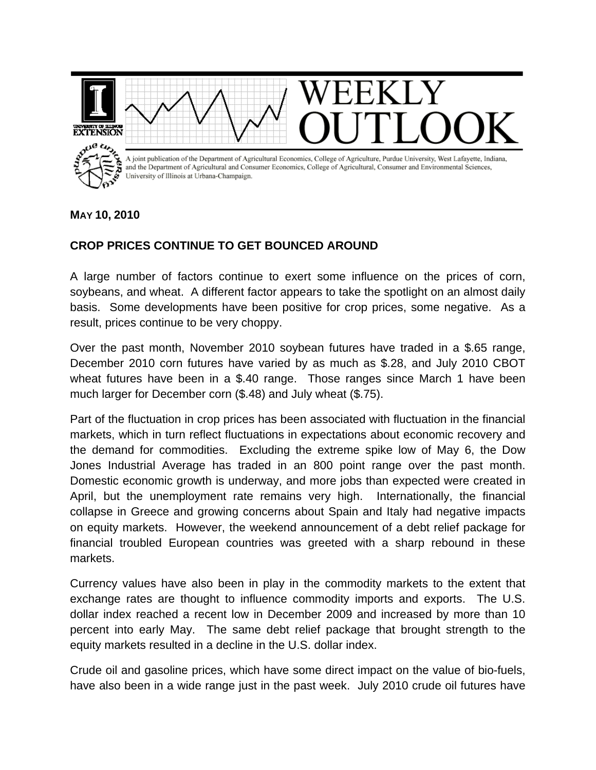

## **MAY 10, 2010**

## **CROP PRICES CONTINUE TO GET BOUNCED AROUND**

A large number of factors continue to exert some influence on the prices of corn, soybeans, and wheat. A different factor appears to take the spotlight on an almost daily basis. Some developments have been positive for crop prices, some negative. As a result, prices continue to be very choppy.

Over the past month, November 2010 soybean futures have traded in a \$.65 range, December 2010 corn futures have varied by as much as \$.28, and July 2010 CBOT wheat futures have been in a \$.40 range. Those ranges since March 1 have been much larger for December corn (\$.48) and July wheat (\$.75).

Part of the fluctuation in crop prices has been associated with fluctuation in the financial markets, which in turn reflect fluctuations in expectations about economic recovery and the demand for commodities. Excluding the extreme spike low of May 6, the Dow Jones Industrial Average has traded in an 800 point range over the past month. Domestic economic growth is underway, and more jobs than expected were created in April, but the unemployment rate remains very high. Internationally, the financial collapse in Greece and growing concerns about Spain and Italy had negative impacts on equity markets. However, the weekend announcement of a debt relief package for financial troubled European countries was greeted with a sharp rebound in these markets.

Currency values have also been in play in the commodity markets to the extent that exchange rates are thought to influence commodity imports and exports. The U.S. dollar index reached a recent low in December 2009 and increased by more than 10 percent into early May. The same debt relief package that brought strength to the equity markets resulted in a decline in the U.S. dollar index.

Crude oil and gasoline prices, which have some direct impact on the value of bio-fuels, have also been in a wide range just in the past week. July 2010 crude oil futures have